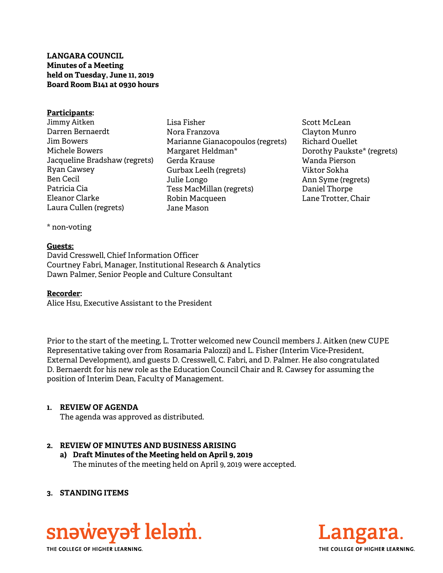**LANGARA COUNCIL Minutes of a Meeting held on Tuesday, June 11, 2019 Board Room B141 at 0930 hours** 

#### **Participants:**

- Jimmy Aitken Darren Bernaerdt Jim Bowers Michele Bowers Jacqueline Bradshaw (regrets) Ryan Cawsey Ben Cecil Patricia Cia Eleanor Clarke Laura Cullen (regrets)
- Lisa Fisher Nora Franzova Marianne Gianacopoulos (regrets) Margaret Heldman\* Gerda Krause Gurbax Leelh (regrets) Julie Longo Tess MacMillan (regrets) Robin Macqueen Jane Mason
- Scott McLean Clayton Munro Richard Ouellet Dorothy Paukste\* (regrets) Wanda Pierson Viktor Sokha Ann Syme (regrets) Daniel Thorpe Lane Trotter, Chair

\* non-voting

#### **Guests:**

David Cresswell, Chief Information Officer Courtney Fabri, Manager, Institutional Research & Analytics Dawn Palmer, Senior People and Culture Consultant

#### **Recorder:**

Alice Hsu, Executive Assistant to the President

Prior to the start of the meeting, L. Trotter welcomed new Council members J. Aitken (new CUPE Representative taking over from Rosamaria Palozzi) and L. Fisher (Interim Vice-President, External Development), and guests D. Cresswell, C. Fabri, and D. Palmer. He also congratulated D. Bernaerdt for his new role as the Education Council Chair and R. Cawsey for assuming the position of Interim Dean, Faculty of Management.

#### **1. REVIEW OF AGENDA**

The agenda was approved as distributed.

# **2. REVIEW OF MINUTES AND BUSINESS ARISING**

**a) Draft Minutes of the Meeting held on April 9, 2019**  The minutes of the meeting held on April 9, 2019 were accepted.

#### **3. STANDING ITEMS**



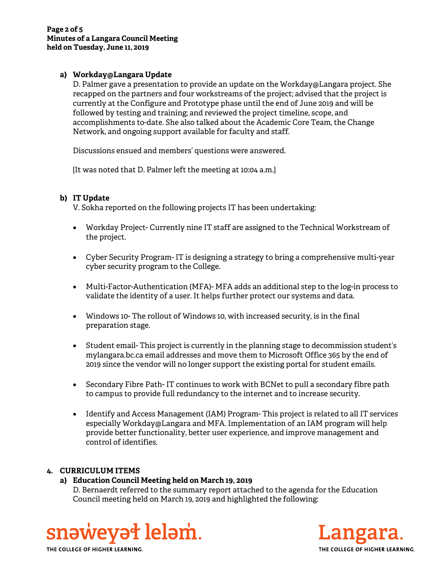#### **a) Workday@Langara Update**

D. Palmer gave a presentation to provide an update on the Workday@Langara project. She recapped on the partners and four workstreams of the project; advised that the project is currently at the Configure and Prototype phase until the end of June 2019 and will be followed by testing and training; and reviewed the project timeline, scope, and accomplishments to-date. She also talked about the Academic Core Team, the Change Network, and ongoing support available for faculty and staff.

Discussions ensued and members' questions were answered.

[It was noted that D. Palmer left the meeting at 10:04 a.m.]

# **b) IT Update**

V. Sokha reported on the following projects IT has been undertaking:

- Workday Project- Currently nine IT staff are assigned to the Technical Workstream of the project.
- Cyber Security Program- IT is designing a strategy to bring a comprehensive multi-year cyber security program to the College.
- Multi-Factor-Authentication (MFA)- MFA adds an additional step to the log-in process to validate the identity of a user. It helps further protect our systems and data.
- Windows 10- The rollout of Windows 10, with increased security, is in the final preparation stage.
- Student email- This project is currently in the planning stage to decommission student's mylangara.bc.ca email addresses and move them to Microsoft Office 365 by the end of 2019 since the vendor will no longer support the existing portal for student emails.
- Secondary Fibre Path- IT continues to work with BCNet to pull a secondary fibre path to campus to provide full redundancy to the internet and to increase security.
- Identify and Access Management (IAM) Program- This project is related to all IT services especially Workday@Langara and MFA. Implementation of an IAM program will help provide better functionality, better user experience, and improve management and control of identifies.

# **4. CURRICULUM ITEMS**

# **a) Education Council Meeting held on March 19, 2019**

D. Bernaerdt referred to the summary report attached to the agenda for the Education Council meeting held on March 19, 2019 and highlighted the following:





THE COLLEGE OF HIGHER LEARNING.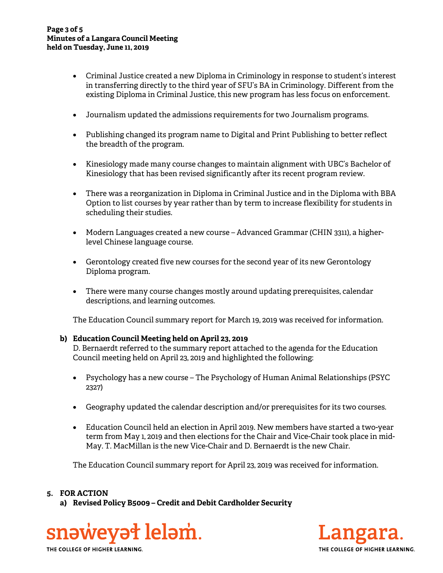- Criminal Justice created a new Diploma in Criminology in response to student's interest in transferring directly to the third year of SFU's BA in Criminology. Different from the existing Diploma in Criminal Justice, this new program has less focus on enforcement.
- Journalism updated the admissions requirements for two Journalism programs.
- Publishing changed its program name to Digital and Print Publishing to better reflect the breadth of the program.
- Kinesiology made many course changes to maintain alignment with UBC's Bachelor of Kinesiology that has been revised significantly after its recent program review.
- There was a reorganization in Diploma in Criminal Justice and in the Diploma with BBA Option to list courses by year rather than by term to increase flexibility for students in scheduling their studies.
- Modern Languages created a new course Advanced Grammar (CHIN 3311), a higherlevel Chinese language course.
- Gerontology created five new courses for the second year of its new Gerontology Diploma program.
- There were many course changes mostly around updating prerequisites, calendar descriptions, and learning outcomes.

The Education Council summary report for March 19, 2019 was received for information.

# **b) Education Council Meeting held on April 23, 2019**

D. Bernaerdt referred to the summary report attached to the agenda for the Education Council meeting held on April 23, 2019 and highlighted the following:

- Psychology has a new course The Psychology of Human Animal Relationships (PSYC 2327)
- Geography updated the calendar description and/or prerequisites for its two courses.
- Education Council held an election in April 2019. New members have started a two-year term from May 1, 2019 and then elections for the Chair and Vice-Chair took place in mid-May. T. MacMillan is the new Vice-Chair and D. Bernaerdt is the new Chair.

The Education Council summary report for April 23, 2019 was received for information.

# **5. FOR ACTION**

**a) Revised Policy B5009 – Credit and Debit Cardholder Security** 





THE COLLEGE OF HIGHER LEARNING.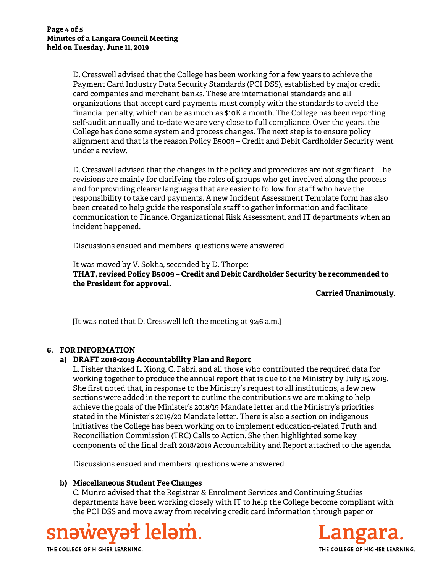D. Cresswell advised that the College has been working for a few years to achieve the Payment Card Industry Data Security Standards (PCI DSS), established by major credit card companies and merchant banks. These are international standards and all organizations that accept card payments must comply with the standards to avoid the financial penalty, which can be as much as \$10K a month. The College has been reporting self-audit annually and to-date we are very close to full compliance. Over the years, the College has done some system and process changes. The next step is to ensure policy alignment and that is the reason Policy B5009 – Credit and Debit Cardholder Security went under a review.

D. Cresswell advised that the changes in the policy and procedures are not significant. The revisions are mainly for clarifying the roles of groups who get involved along the process and for providing clearer languages that are easier to follow for staff who have the responsibility to take card payments. A new Incident Assessment Template form has also been created to help guide the responsible staff to gather information and facilitate communication to Finance, Organizational Risk Assessment, and IT departments when an incident happened.

Discussions ensued and members' questions were answered.

It was moved by V. Sokha, seconded by D. Thorpe: **THAT, revised Policy B5009 – Credit and Debit Cardholder Security be recommended to the President for approval.** 

**Carried Unanimously.** 

[It was noted that D. Cresswell left the meeting at 9:46 a.m.]

# **6. FOR INFORMATION**

# **a) DRAFT 2018-2019 Accountability Plan and Report**

L. Fisher thanked L. Xiong, C. Fabri, and all those who contributed the required data for working together to produce the annual report that is due to the Ministry by July 15, 2019. She first noted that, in response to the Ministry's request to all institutions, a few new sections were added in the report to outline the contributions we are making to help achieve the goals of the Minister's 2018/19 Mandate letter and the Ministry's priorities stated in the Minister's 2019/20 Mandate letter. There is also a section on indigenous initiatives the College has been working on to implement education-related Truth and Reconciliation Commission (TRC) Calls to Action. She then highlighted some key components of the final draft 2018/2019 Accountability and Report attached to the agenda.

Discussions ensued and members' questions were answered.

# **b) Miscellaneous Student Fee Changes**

C. Munro advised that the Registrar & Enrolment Services and Continuing Studies departments have been working closely with IT to help the College become compliant with the PCI DSS and move away from receiving credit card information through paper or